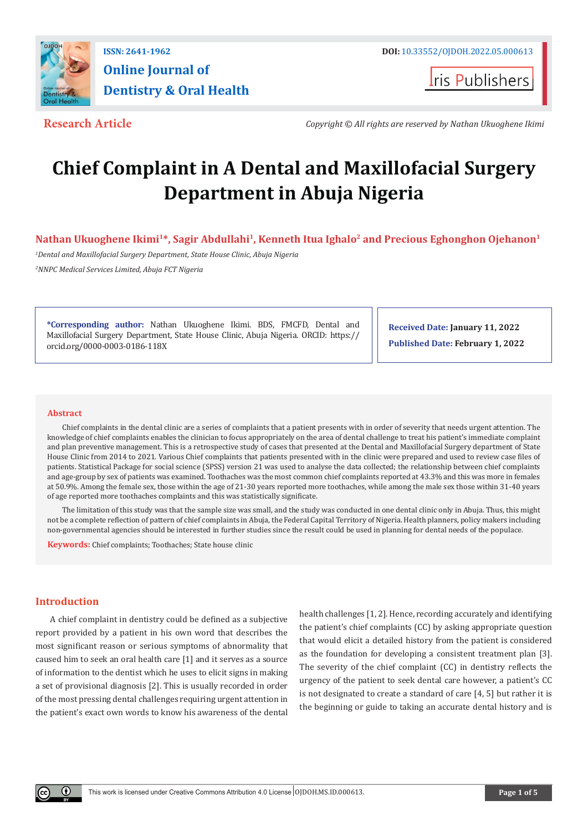

# **Online Journal of Dentistry & Oral Health**

**Iris Publishers** 

**Research Article** *Copyright © All rights are reserved by Nathan Ukuoghene Ikimi*

## **Chief Complaint in A Dental and Maxillofacial Surgery Department in Abuja Nigeria**

Nathan Ukuoghene Ikimi<sup>1\*</sup>, Sagir Abdullahi<sup>1</sup>, Kenneth Itua Ighalo<sup>2</sup> and Precious Eghonghon Ojehanon<sup>1</sup>

*1 Dental and Maxillofacial Surgery Department, State House Clinic, Abuja Nigeria 2 NNPC Medical Services Limited, Abuja FCT Nigeria*

**\*Corresponding author:** Nathan Ukuoghene Ikimi. BDS, FMCFD, Dental and Maxillofacial Surgery Department, State House Clinic, Abuja Nigeria. ORCID: https:// orcid.org/0000-0003-0186-118X

**Received Date: January 11, 2022 Published Date: February 1, 2022**

#### **Abstract**

Chief complaints in the dental clinic are a series of complaints that a patient presents with in order of severity that needs urgent attention. The knowledge of chief complaints enables the clinician to focus appropriately on the area of dental challenge to treat his patient's immediate complaint and plan preventive management. This is a retrospective study of cases that presented at the Dental and Maxillofacial Surgery department of State House Clinic from 2014 to 2021. Various Chief complaints that patients presented with in the clinic were prepared and used to review case files of patients. Statistical Package for social science (SPSS) version 21 was used to analyse the data collected; the relationship between chief complaints and age-group by sex of patients was examined. Toothaches was the most common chief complaints reported at 43.3% and this was more in females at 50.9%. Among the female sex, those within the age of 21-30 years reported more toothaches, while among the male sex those within 31-40 years of age reported more toothaches complaints and this was statistically significate.

The limitation of this study was that the sample size was small, and the study was conducted in one dental clinic only in Abuja. Thus, this might not be a complete reflection of pattern of chief complaints in Abuja, the Federal Capital Territory of Nigeria. Health planners, policy makers including non-governmental agencies should be interested in further studies since the result could be used in planning for dental needs of the populace.

**Keywords:** Chief complaints; Toothaches; State house clinic

### **Introduction**

A chief complaint in dentistry could be defined as a subjective report provided by a patient in his own word that describes the most significant reason or serious symptoms of abnormality that caused him to seek an oral health care [1] and it serves as a source of information to the dentist which he uses to elicit signs in making a set of provisional diagnosis [2]. This is usually recorded in order of the most pressing dental challenges requiring urgent attention in the patient's exact own words to know his awareness of the dental

health challenges [1, 2]. Hence, recording accurately and identifying the patient's chief complaints (CC) by asking appropriate question that would elicit a detailed history from the patient is considered as the foundation for developing a consistent treatment plan [3]. The severity of the chief complaint (CC) in dentistry reflects the urgency of the patient to seek dental care however, a patient's CC is not designated to create a standard of care [4, 5] but rather it is the beginning or guide to taking an accurate dental history and is

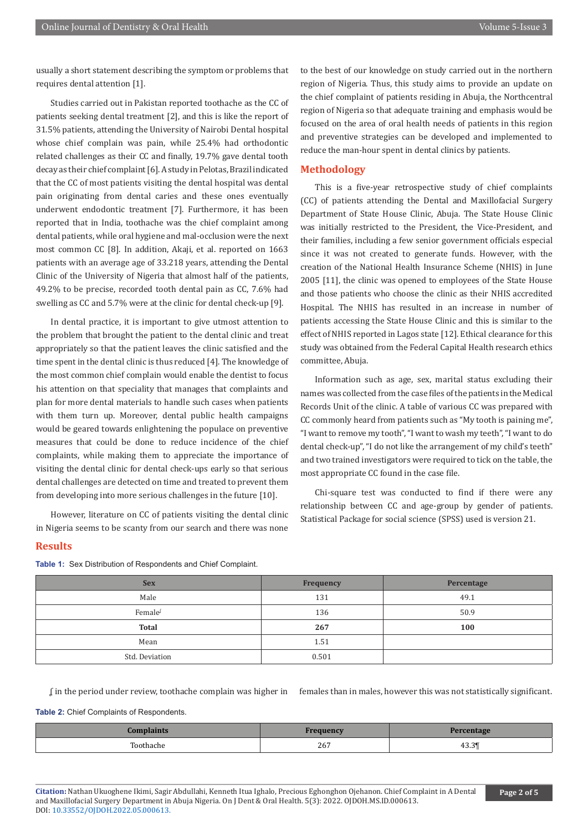usually a short statement describing the symptom or problems that requires dental attention [1].

Studies carried out in Pakistan reported toothache as the CC of patients seeking dental treatment [2], and this is like the report of 31.5% patients, attending the University of Nairobi Dental hospital whose chief complain was pain, while 25.4% had orthodontic related challenges as their CC and finally, 19.7% gave dental tooth decay as their chief complaint [6]. A study in Pelotas, Brazil indicated that the CC of most patients visiting the dental hospital was dental pain originating from dental caries and these ones eventually underwent endodontic treatment [7]. Furthermore, it has been reported that in India, toothache was the chief complaint among dental patients, while oral hygiene and mal-occlusion were the next most common CC [8]. In addition, Akaji, et al. reported on 1663 patients with an average age of 33.218 years, attending the Dental Clinic of the University of Nigeria that almost half of the patients, 49.2% to be precise, recorded tooth dental pain as CC, 7.6% had swelling as CC and 5.7% were at the clinic for dental check-up [9].

In dental practice, it is important to give utmost attention to the problem that brought the patient to the dental clinic and treat appropriately so that the patient leaves the clinic satisfied and the time spent in the dental clinic is thus reduced [4]. The knowledge of the most common chief complain would enable the dentist to focus his attention on that speciality that manages that complaints and plan for more dental materials to handle such cases when patients with them turn up. Moreover, dental public health campaigns would be geared towards enlightening the populace on preventive measures that could be done to reduce incidence of the chief complaints, while making them to appreciate the importance of visiting the dental clinic for dental check-ups early so that serious dental challenges are detected on time and treated to prevent them from developing into more serious challenges in the future [10].

However, literature on CC of patients visiting the dental clinic in Nigeria seems to be scanty from our search and there was none

to the best of our knowledge on study carried out in the northern region of Nigeria. Thus, this study aims to provide an update on the chief complaint of patients residing in Abuja, the Northcentral region of Nigeria so that adequate training and emphasis would be focused on the area of oral health needs of patients in this region and preventive strategies can be developed and implemented to reduce the man-hour spent in dental clinics by patients.

#### **Methodology**

This is a five-year retrospective study of chief complaints (CC) of patients attending the Dental and Maxillofacial Surgery Department of State House Clinic, Abuja. The State House Clinic was initially restricted to the President, the Vice-President, and their families, including a few senior government officials especial since it was not created to generate funds. However, with the creation of the National Health Insurance Scheme (NHIS) in June 2005 [11], the clinic was opened to employees of the State House and those patients who choose the clinic as their NHIS accredited Hospital. The NHIS has resulted in an increase in number of patients accessing the State House Clinic and this is similar to the effect of NHIS reported in Lagos state [12]. Ethical clearance for this study was obtained from the Federal Capital Health research ethics committee, Abuja.

Information such as age, sex, marital status excluding their names was collected from the case files of the patients in the Medical Records Unit of the clinic. A table of various CC was prepared with CC commonly heard from patients such as "My tooth is paining me", "I want to remove my tooth", "I want to wash my teeth", "I want to do dental check-up", "I do not like the arrangement of my child's teeth" and two trained investigators were required to tick on the table, the most appropriate CC found in the case file.

Chi-square test was conducted to find if there were any relationship between CC and age-group by gender of patients. Statistical Package for social science (SPSS) used is version 21.

#### **Results**

**Table 1:** Sex Distribution of Respondents and Chief Complaint.

| <b>Sex</b>     | <b>Frequency</b> | Percentage |  |
|----------------|------------------|------------|--|
| Male           | 131              | 49.1       |  |
| Female         | 136              | 50.9       |  |
| <b>Total</b>   | 267              | 100        |  |
| Mean           | 1.51             |            |  |
| Std. Deviation | 0.501            |            |  |

ʆ in the period under review, toothache complain was higher in females than in males, however this was not statistically significant.

**Table 2:** Chief Complaints of Respondents.

| plaints |     | <b>Percentage</b> |  |
|---------|-----|-------------------|--|
| .       | 267 | $-$<br>43.3       |  |

**Citation:** Nathan Ukuoghene Ikimi, Sagir Abdullahi, Kenneth Itua Ighalo, Precious Eghonghon Ojehanon. Chief Complaint in A Dental and Maxillofacial Surgery Department in Abuja Nigeria. On J Dent & Oral Health. 5(3): 2022. OJDOH.MS.ID.000613. DOI: [10.33552/OJDOH.2022.05.000613.](http://dx.doi.org/10.33552/OJDOH.2022.05.000613)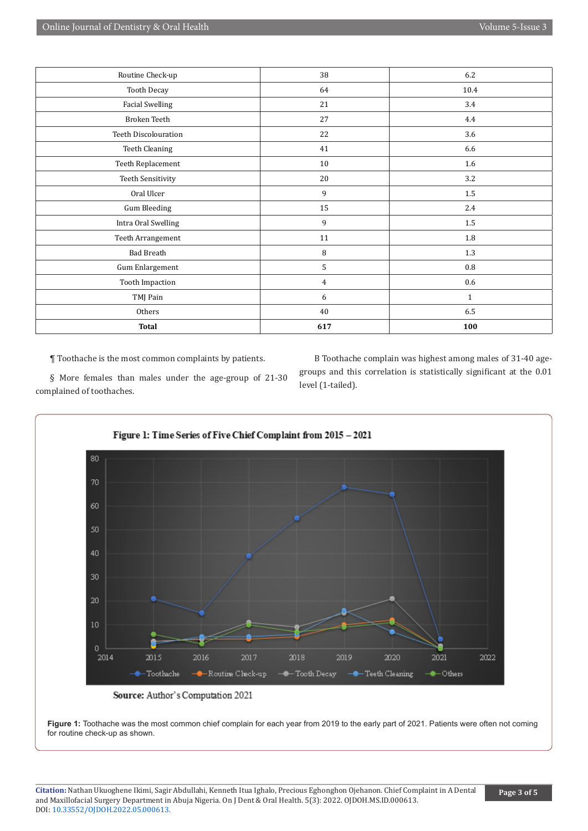| Routine Check-up            | 38             | 6.2          |
|-----------------------------|----------------|--------------|
| Tooth Decay                 | 64             | 10.4         |
| <b>Facial Swelling</b>      | 21             | 3.4          |
| Broken Teeth                | 27             | 4.4          |
| <b>Teeth Discolouration</b> | 22             | 3.6          |
| <b>Teeth Cleaning</b>       | 41             | 6.6          |
| Teeth Replacement           | 10             | 1.6          |
| Teeth Sensitivity           | 20             | 3.2          |
| Oral Ulcer                  | 9              | 1.5          |
| <b>Gum Bleeding</b>         | 15             | 2.4          |
| Intra Oral Swelling         | 9              | $1.5\,$      |
| Teeth Arrangement           | 11             | 1.8          |
| <b>Bad Breath</b>           | 8              | 1.3          |
| Gum Enlargement             | 5              | 0.8          |
| <b>Tooth Impaction</b>      | $\overline{4}$ | 0.6          |
| TMJ Pain                    | 6              | $\mathbf{1}$ |
| Others                      | 40             | 6.5          |
| <b>Total</b>                | 617            | 100          |

¶ Toothache is the most common complaints by patients.

complained of toothaches.

§ More females than males under the age-group of 21-30

Β Toothache complain was highest among males of 31-40 agegroups and this correlation is statistically significant at the 0.01 level (1-tailed).



Source: Author's Computation 2021

**Figure 1:** Toothache was the most common chief complain for each year from 2019 to the early part of 2021. Patients were often not coming for routine check-up as shown.

**Citation:** Nathan Ukuoghene Ikimi, Sagir Abdullahi, Kenneth Itua Ighalo, Precious Eghonghon Ojehanon. Chief Complaint in A Dental and Maxillofacial Surgery Department in Abuja Nigeria. On J Dent & Oral Health. 5(3): 2022. OJDOH.MS.ID.000613. DOI: [10.33552/OJDOH.2022.05.000613.](http://dx.doi.org/10.33552/OJDOH.2022.05.000613)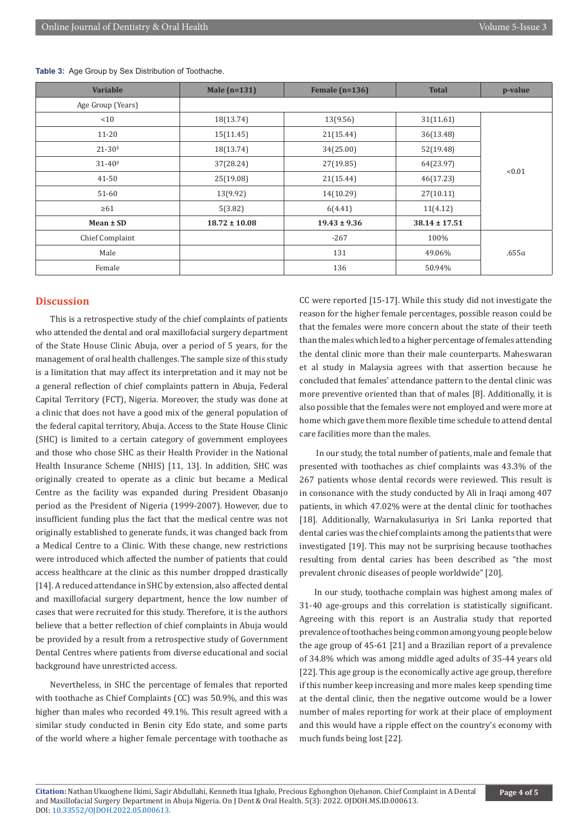| <b>Variable</b>   | Male (n=131)      | Female $(n=136)$ | <b>Total</b>      | p-value      |
|-------------------|-------------------|------------------|-------------------|--------------|
| Age Group (Years) |                   |                  |                   |              |
| < 10              | 18(13.74)         | 13(9.56)         | 31(11.61)         |              |
| $11 - 20$         | 15(11.45)         | 21(15.44)        | 36(13.48)         |              |
| $21 - 30§$        | 18(13.74)         | 34(25.00)        | 52(19.48)         |              |
| $31-40β$          | 37(28.24)         | 27(19.85)        | 64(23.97)         | < 0.01       |
| 41-50             | 25(19.08)         | 21(15.44)        | 46(17.23)         |              |
| 51-60             | 13(9.92)          | 14(10.29)        | 27(10.11)         |              |
| $\geq 61$         | 5(3.82)           | 6(4.41)          | 11(4.12)          |              |
| $Mean \pm SD$     | $18.72 \pm 10.08$ | $19.43 \pm 9.36$ | $38.14 \pm 17.51$ |              |
| Chief Complaint   |                   | $-267$           | 100%              |              |
| Male              |                   | 131              | 49.06%            | $.655\alpha$ |
| Female            |                   | 136              | 50.94%            |              |

**Table 3:** Age Group by Sex Distribution of Toothache.

#### **Discussion**

This is a retrospective study of the chief complaints of patients who attended the dental and oral maxillofacial surgery department of the State House Clinic Abuja, over a period of 5 years, for the management of oral health challenges. The sample size of this study is a limitation that may affect its interpretation and it may not be a general reflection of chief complaints pattern in Abuja, Federal Capital Territory (FCT), Nigeria. Moreover, the study was done at a clinic that does not have a good mix of the general population of the federal capital territory, Abuja. Access to the State House Clinic (SHC) is limited to a certain category of government employees and those who chose SHC as their Health Provider in the National Health Insurance Scheme (NHIS) [11, 13]. In addition, SHC was originally created to operate as a clinic but became a Medical Centre as the facility was expanded during President Obasanjo period as the President of Nigeria (1999-2007). However, due to insufficient funding plus the fact that the medical centre was not originally established to generate funds, it was changed back from a Medical Centre to a Clinic. With these change, new restrictions were introduced which affected the number of patients that could access healthcare at the clinic as this number dropped drastically [14]. A reduced attendance in SHC by extension, also affected dental and maxillofacial surgery department, hence the low number of cases that were recruited for this study. Therefore, it is the authors believe that a better reflection of chief complaints in Abuja would be provided by a result from a retrospective study of Government Dental Centres where patients from diverse educational and social background have unrestricted access.

Nevertheless, in SHC the percentage of females that reported with toothache as Chief Complaints (CC) was 50.9%, and this was higher than males who recorded 49.1%. This result agreed with a similar study conducted in Benin city Edo state, and some parts of the world where a higher female percentage with toothache as CC were reported [15-17]. While this study did not investigate the reason for the higher female percentages, possible reason could be that the females were more concern about the state of their teeth than the males which led to a higher percentage of females attending the dental clinic more than their male counterparts. Maheswaran et al study in Malaysia agrees with that assertion because he concluded that females' attendance pattern to the dental clinic was more preventive oriented than that of males [8]. Additionally, it is also possible that the females were not employed and were more at home which gave them more flexible time schedule to attend dental care facilities more than the males.

 In our study, the total number of patients, male and female that presented with toothaches as chief complaints was 43.3% of the 267 patients whose dental records were reviewed. This result is in consonance with the study conducted by Ali in Iraqi among 407 patients, in which 47.02% were at the dental clinic for toothaches [18]. Additionally, Warnakulasuriya in Sri Lanka reported that dental caries was the chief complaints among the patients that were investigated [19]. This may not be surprising because toothaches resulting from dental caries has been described as "the most prevalent chronic diseases of people worldwide" [20].

In our study, toothache complain was highest among males of 31-40 age-groups and this correlation is statistically significant. Agreeing with this report is an Australia study that reported prevalence of toothaches being common among young people below the age group of 45-61 [21] and a Brazilian report of a prevalence of 34.8% which was among middle aged adults of 35-44 years old [22]. This age group is the economically active age group, therefore if this number keep increasing and more males keep spending time at the dental clinic, then the negative outcome would be a lower number of males reporting for work at their place of employment and this would have a ripple effect on the country's economy with much funds being lost [22].